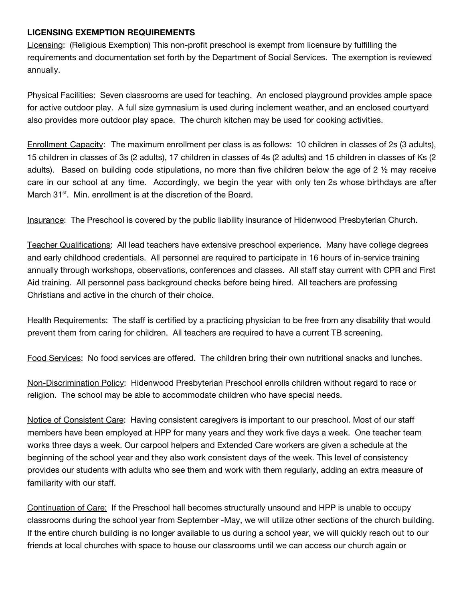## **LICENSING EXEMPTION REQUIREMENTS**

Licensing: (Religious Exemption) This non-profit preschool is exempt from licensure by fulfilling the requirements and documentation set forth by the Department of Social Services. The exemption is reviewed annually.

Physical Facilities: Seven classrooms are used for teaching. An enclosed playground provides ample space for active outdoor play. A full size gymnasium is used during inclement weather, and an enclosed courtyard also provides more outdoor play space. The church kitchen may be used for cooking activities.

Enrollment Capacity: The maximum enrollment per class is as follows: 10 children in classes of 2s (3 adults), 15 children in classes of 3s (2 adults), 17 children in classes of 4s (2 adults) and 15 children in classes of Ks (2 adults). Based on building code stipulations, no more than five children below the age of 2 ½ may receive care in our school at any time. Accordingly, we begin the year with only ten 2s whose birthdays are after March 31<sup>st</sup>. Min. enrollment is at the discretion of the Board.

Insurance: The Preschool is covered by the public liability insurance of Hidenwood Presbyterian Church.

Teacher Qualifications: All lead teachers have extensive preschool experience. Many have college degrees and early childhood credentials. All personnel are required to participate in 16 hours of in-service training annually through workshops, observations, conferences and classes. All staff stay current with CPR and First Aid training. All personnel pass background checks before being hired. All teachers are professing Christians and active in the church of their choice.

Health Requirements: The staff is certified by a practicing physician to be free from any disability that would prevent them from caring for children. All teachers are required to have a current TB screening.

Food Services: No food services are offered. The children bring their own nutritional snacks and lunches.

Non-Discrimination Policy: Hidenwood Presbyterian Preschool enrolls children without regard to race or religion. The school may be able to accommodate children who have special needs.

Notice of Consistent Care: Having consistent caregivers is important to our preschool. Most of our staff members have been employed at HPP for many years and they work five days a week. One teacher team works three days a week. Our carpool helpers and Extended Care workers are given a schedule at the beginning of the school year and they also work consistent days of the week. This level of consistency provides our students with adults who see them and work with them regularly, adding an extra measure of familiarity with our staff.

Continuation of Care: If the Preschool hall becomes structurally unsound and HPP is unable to occupy classrooms during the school year from September -May, we will utilize other sections of the church building. If the entire church building is no longer available to us during a school year, we will quickly reach out to our friends at local churches with space to house our classrooms until we can access our church again or